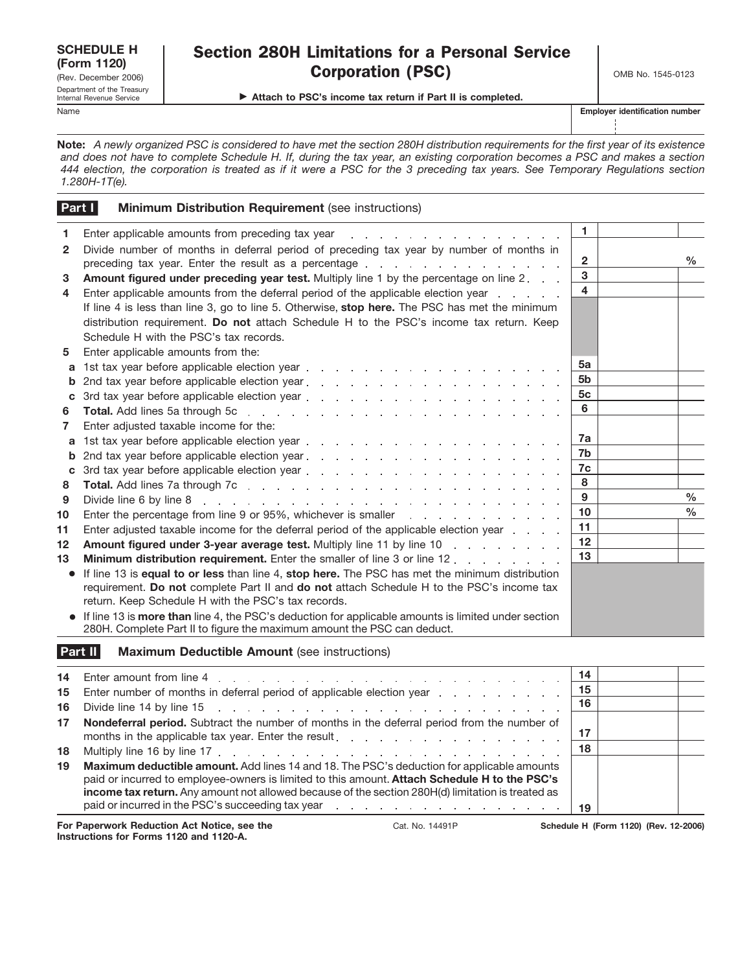| <b>SCHEDULE H</b><br>(Form 1120)                       |
|--------------------------------------------------------|
| (Rev. December 2006)                                   |
| Department of the Treasury<br>Internal Revenue Service |

# Section 280H Limitations for a Personal Service Corporation (PSC) CORPORATION COMB No. 1545-0123

▶ Attach to PSC's income tax return if Part II is completed.

Name **Employer identification number**

**Note:** *A newly organized PSC is considered to have met the section 280H distribution requirements for the first year of its existence and does not have to complete Schedule H. If, during the tax year, an existing corporation becomes a PSC and makes a section 444 election, the corporation is treated as if it were a PSC for the 3 preceding tax years. See Temporary Regulations section 1.280H-1T(e).*

|                   | Part I<br><b>Minimum Distribution Requirement (see instructions)</b>                                                                                                                                                           |                         |               |
|-------------------|--------------------------------------------------------------------------------------------------------------------------------------------------------------------------------------------------------------------------------|-------------------------|---------------|
| 1.                | Enter applicable amounts from preceding tax year<br>design and a state of the state                                                                                                                                            | $\mathbf{1}$            |               |
| $\mathbf{2}$      | Divide number of months in deferral period of preceding tax year by number of months in                                                                                                                                        |                         |               |
|                   | preceding tax year. Enter the result as a percentage enters and and all the contract of the contract of the pr                                                                                                                 | $\overline{2}$          | %             |
| 3                 | <b>Amount figured under preceding year test.</b> Multiply line 1 by the percentage on line 2.                                                                                                                                  | 3                       |               |
| 4                 | Enter applicable amounts from the deferral period of the applicable election year enter-                                                                                                                                       | $\overline{\mathbf{4}}$ |               |
|                   | If line 4 is less than line 3, go to line 5. Otherwise, stop here. The PSC has met the minimum                                                                                                                                 |                         |               |
|                   | distribution requirement. Do not attach Schedule H to the PSC's income tax return. Keep                                                                                                                                        |                         |               |
|                   | Schedule H with the PSC's tax records.                                                                                                                                                                                         |                         |               |
| 5                 | Enter applicable amounts from the:                                                                                                                                                                                             |                         |               |
| a                 | 1st tax year before applicable election year entering to the contract of the state of the state of the state of the state of the state of the state of the state of the state of the state of the state of the state of the st | 5a                      |               |
| b                 |                                                                                                                                                                                                                                | 5 <sub>b</sub>          |               |
| C                 | 3rd tax year before applicable election year entering to a set of the set of the set of the set of the set of the set of the set of the set of the set of the set of the set of the set of the set of the set of the set of th | 5 <sub>c</sub>          |               |
| 6                 |                                                                                                                                                                                                                                | 6                       |               |
| 7                 | Enter adjusted taxable income for the:                                                                                                                                                                                         |                         |               |
| a                 | 1st tax year before applicable election year entitled as a set of the set of the set of the set of the set of the set of the set of the set of the set of the set of the set of the set of the set of the set of the set of th | 7a                      |               |
| b                 | 2nd tax year before applicable election year entitled as a series of the set of the set of the set of the set of the set of the set of the set of the set of the set of the set of the set of the set of the set of the set of | 7 <sub>b</sub>          |               |
| C                 |                                                                                                                                                                                                                                | 7c                      |               |
| 8                 |                                                                                                                                                                                                                                | 8                       |               |
| 9                 | Divide line 6 by line 8<br>the contract of the contract of the contract of the contract of the contract of the contract of                                                                                                     | 9                       | $\%$          |
| 10                |                                                                                                                                                                                                                                | 10 <sup>1</sup>         | $\frac{0}{0}$ |
| 11                | Enter adjusted taxable income for the deferral period of the applicable election year                                                                                                                                          | 11                      |               |
| $12 \overline{ }$ | Amount figured under 3-year average test. Multiply line 11 by line 10                                                                                                                                                          | 12                      |               |
| 13                | <b>Minimum distribution requirement.</b> Enter the smaller of line 3 or line 12                                                                                                                                                | 13                      |               |
|                   | If line 13 is equal to or less than line 4, stop here. The PSC has met the minimum distribution                                                                                                                                |                         |               |
|                   | requirement. Do not complete Part II and do not attach Schedule H to the PSC's income tax                                                                                                                                      |                         |               |
|                   | return. Keep Schedule H with the PSC's tax records.                                                                                                                                                                            |                         |               |
|                   | If line 13 is more than line 4, the PSC's deduction for applicable amounts is limited under section<br>280H. Complete Part II to figure the maximum amount the PSC can deduct.                                                 |                         |               |

#### **Maximum Deductible Amount** (see instructions) **Part II**

| 14  |                                                                                                                                                                                                                                                                                                                                                                                                                                                                                        | -14 |                                       |  |
|-----|----------------------------------------------------------------------------------------------------------------------------------------------------------------------------------------------------------------------------------------------------------------------------------------------------------------------------------------------------------------------------------------------------------------------------------------------------------------------------------------|-----|---------------------------------------|--|
|     | 15 Enter number of months in deferral period of applicable election year enter-                                                                                                                                                                                                                                                                                                                                                                                                        | 15  |                                       |  |
| 16. |                                                                                                                                                                                                                                                                                                                                                                                                                                                                                        | 16  |                                       |  |
| 17  | <b>Nondeferral period.</b> Subtract the number of months in the deferral period from the number of<br>months in the applicable tax year. Enter the result enter the set of the set of the set of the set of the set of the set of the set of the set of the set of the set of the set of the set of the set of the set of the set of                                                                                                                                                   |     |                                       |  |
| 18  |                                                                                                                                                                                                                                                                                                                                                                                                                                                                                        | 18  |                                       |  |
| 19  | <b>Maximum deductible amount.</b> Add lines 14 and 18. The PSC's deduction for applicable amounts<br>paid or incurred to employee-owners is limited to this amount. Attach Schedule H to the PSC's<br><b>income tax return.</b> Any amount not allowed because of the section 280H(d) limitation is treated as<br>paid or incurred in the PSC's succeeding tax year reader and the contract of the PSC's succeeding tax year reader and the contract of the PSC's succeeding tax year. |     |                                       |  |
|     | For Paperwork Reduction Act Notice, see the<br>Cat. No. 14491P                                                                                                                                                                                                                                                                                                                                                                                                                         |     | Schedule H (Form 1120) (Rev. 12-2006) |  |

**Instructions for Forms 1120 and 1120-A.**

Cat. No. 14491P